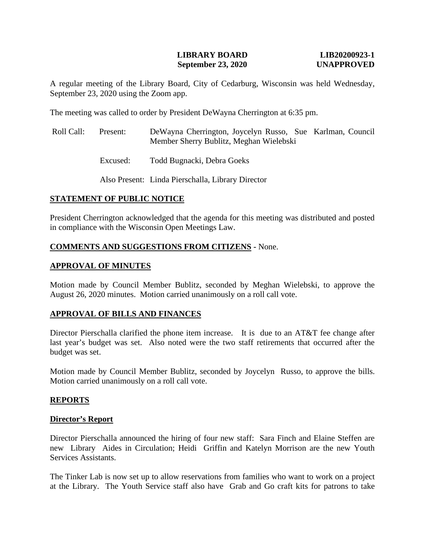# **LIBRARY BOARD LIB20200923-1 September 23, 2020 UNAPPROVED**

A regular meeting of the Library Board, City of Cedarburg, Wisconsin was held Wednesday, September 23, 2020 using the Zoom app.

The meeting was called to order by President DeWayna Cherrington at 6:35 pm.

- Roll Call: Present: DeWayna Cherrington, Joycelyn Russo, Sue Karlman, Council Member Sherry Bublitz, Meghan Wielebski
	- Excused: Todd Bugnacki, Debra Goeks

Also Present: Linda Pierschalla, Library Director

# **STATEMENT OF PUBLIC NOTICE**

President Cherrington acknowledged that the agenda for this meeting was distributed and posted in compliance with the Wisconsin Open Meetings Law.

# **COMMENTS AND SUGGESTIONS FROM CITIZENS -** None.

# **APPROVAL OF MINUTES**

Motion made by Council Member Bublitz, seconded by Meghan Wielebski, to approve the August 26, 2020 minutes. Motion carried unanimously on a roll call vote.

### **APPROVAL OF BILLS AND FINANCES**

Director Pierschalla clarified the phone item increase. It is due to an AT&T fee change after last year's budget was set. Also noted were the two staff retirements that occurred after the budget was set.

Motion made by Council Member Bublitz, seconded by Joycelyn Russo, to approve the bills. Motion carried unanimously on a roll call vote.

### **REPORTS**

### **Director's Report**

Director Pierschalla announced the hiring of four new staff: Sara Finch and Elaine Steffen are new Library Aides in Circulation; Heidi Griffin and Katelyn Morrison are the new Youth Services Assistants.

The Tinker Lab is now set up to allow reservations from families who want to work on a project at the Library. The Youth Service staff also have Grab and Go craft kits for patrons to take